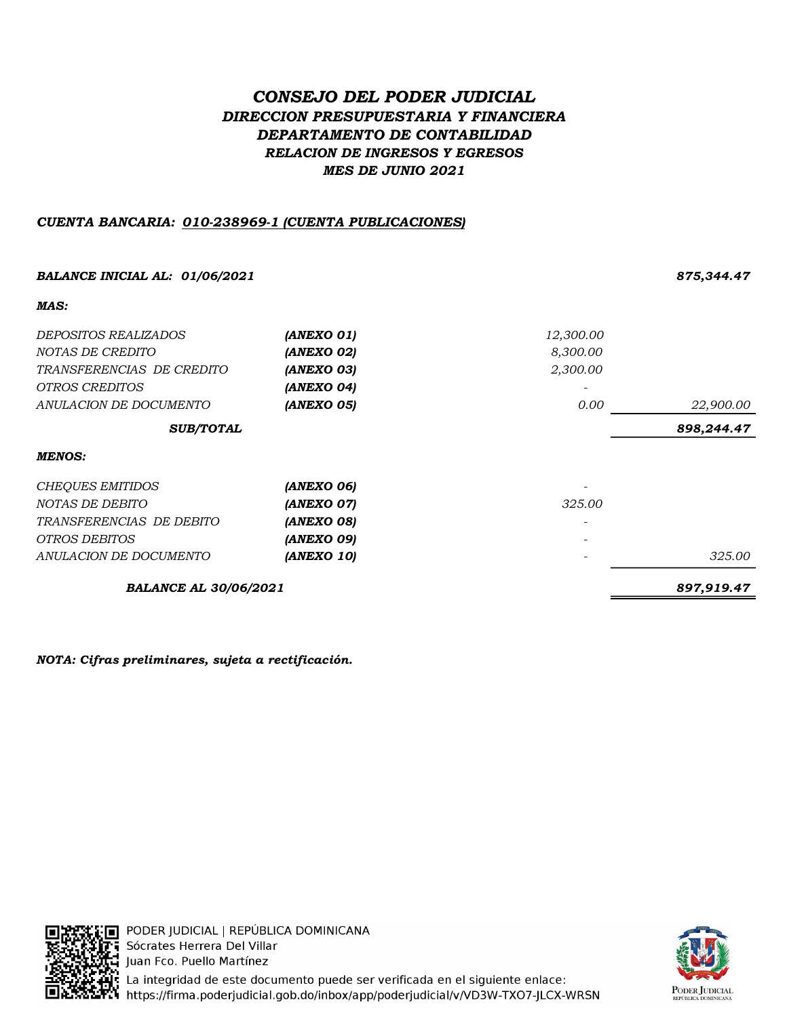# CONSEJO DEL PODER JUDICIAL DIRECCION PRESUPUESTARIA Y FINANCIERA DEPARTAMENTO DE CONTABILIDAD RELACION DE INGRESOS Y EGRESOS MES DE JUNIO 2021

# CUENTA BANCARIA: 010-238969-1 (CUENTA PUBLICACIONES)

| <b>BALANCE INICIAL AL: 01/06/2021</b> |                          |           | 875,344.47 |
|---------------------------------------|--------------------------|-----------|------------|
| MAS:                                  |                          |           |            |
| DEPOSITOS REALIZADOS                  | (ANEXO 01)               | 12,300.00 |            |
| NOTAS DE CREDITO                      | (ANEXO 02)               | 8,300.00  |            |
| TRANSFERENCIAS DE CREDITO             | (ANEXO 03)               | 2,300.00  |            |
| OTROS CREDITOS                        | (ANEXO 04)               |           |            |
| ANULACION DE DOCUMENTO                | (ANEXO 05)               | 0.00      | 22,900.00  |
| <b>SUB/TOTAL</b>                      |                          |           | 898,244.47 |
| <b>MENOS:</b>                         |                          |           |            |
| <b>CHEQUES EMITIDOS</b>               | (ANEXO 06)               |           |            |
| NOTAS DE DEBITO                       | (ANEXO 07)               | 325.00    |            |
| TRANSFERENCIAS DE DEBITO              | (ANEXO 08)               |           |            |
| <i>OTROS DEBITOS</i>                  | (ANEXO 09)               |           |            |
| ANULACION DE DOCUMENTO                | <i><b>(ANEXO 10)</b></i> |           | 325.00     |
| <b>BALANCE AL 30/06/2021</b>          |                          |           | 897,919.47 |

NOTA: Cifras preliminares, sujeta a rectificación.



[:∏ PODER JUDICIAL | REPÚBLICA DOMINICANA **Ti** Sócrates Herrera Del Villar Juan Fco. Puello Martínez La integridad de este documento puede ser verificada en el siguiente enlace: **F. 1** https://firma.poderjudicial.gob.do/inbox/app/poderjudicial/v/VD3W-TXO7-JLCX-WRSN

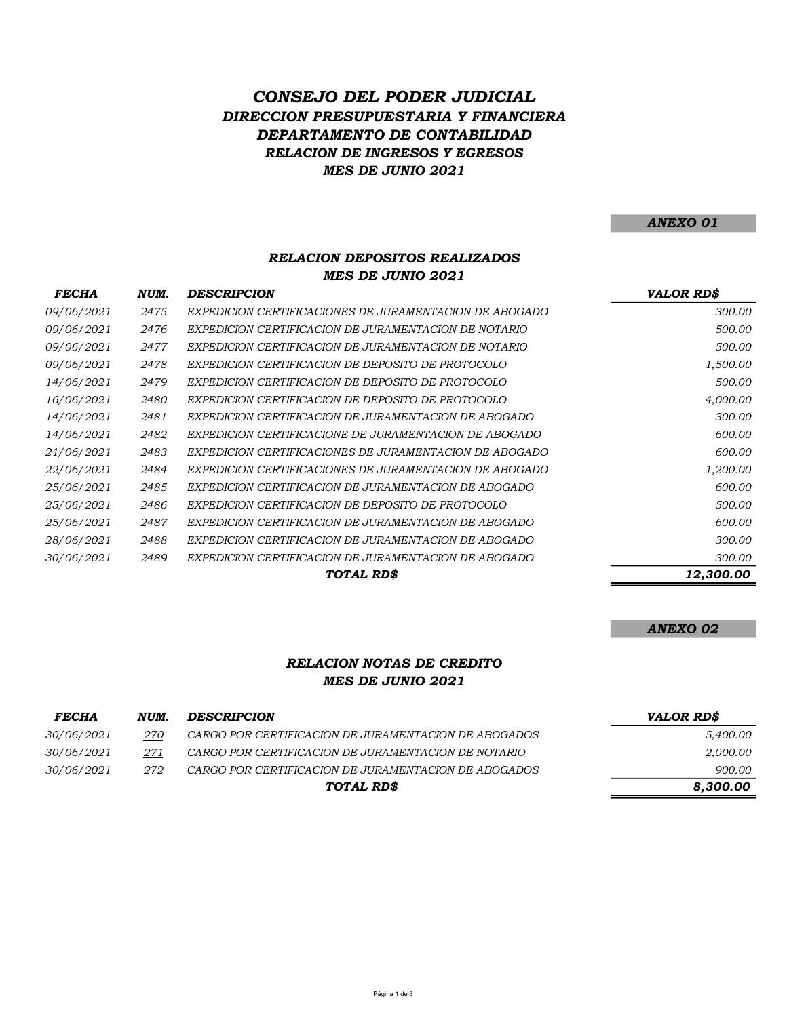# RELACION DE INGRESOS Y EGRESOS CONSEJO DEL PODER JUDICIAL DIRECCION PRESUPUESTARIA Y FINANCIERA DEPARTAMENTO DE CONTABILIDAD MES DE JUNIO 2021

#### ANEXO 01

## RELACION DEPOSITOS REALIZADOS MES DE JUNIO 2021

| <i>FECHA</i> | NUM. | <b>DESCRIPCION</b>                                     | <b>VALOR RD\$</b> |
|--------------|------|--------------------------------------------------------|-------------------|
| 09/06/2021   | 2475 | EXPEDICION CERTIFICACIONES DE JURAMENTACION DE ABOGADO | 300.00            |
| 09/06/2021   | 2476 | EXPEDICION CERTIFICACION DE JURAMENTACION DE NOTARIO   | 500.00            |
| 09/06/2021   | 2477 | EXPEDICION CERTIFICACION DE JURAMENTACION DE NOTARIO   | 500.00            |
| 09/06/2021   | 2478 | EXPEDICION CERTIFICACION DE DEPOSITO DE PROTOCOLO      | 1,500.00          |
| 14/06/2021   | 2479 | EXPEDICION CERTIFICACION DE DEPOSITO DE PROTOCOLO      | 500.00            |
| 16/06/2021   | 2480 | EXPEDICION CERTIFICACION DE DEPOSITO DE PROTOCOLO      | 4,000.00          |
| 14/06/2021   | 2481 | EXPEDICION CERTIFICACION DE JURAMENTACION DE ABOGADO   | 300.00            |
| 14/06/2021   | 2482 | EXPEDICION CERTIFICACIONE DE JURAMENTACION DE ABOGADO  | 600.00            |
| 21/06/2021   | 2483 | EXPEDICION CERTIFICACIONES DE JURAMENTACION DE ABOGADO | 600.00            |
| 22/06/2021   | 2484 | EXPEDICION CERTIFICACIONES DE JURAMENTACION DE ABOGADO | 1,200.00          |
| 25/06/2021   | 2485 | EXPEDICION CERTIFICACION DE JURAMENTACION DE ABOGADO   | 600.00            |
| 25/06/2021   | 2486 | EXPEDICION CERTIFICACION DE DEPOSITO DE PROTOCOLO      | 500.00            |
| 25/06/2021   | 2487 | EXPEDICION CERTIFICACION DE JURAMENTACION DE ABOGADO   | 600.00            |
| 28/06/2021   | 2488 | EXPEDICION CERTIFICACION DE JURAMENTACION DE ABOGADO   | 300.00            |
| 30/06/2021   | 2489 | EXPEDICION CERTIFICACION DE JURAMENTACION DE ABOGADO   | 300.00            |
|              |      | TOTAL RD\$                                             | 12,300.00         |

#### ANEXO 02

## RELACION NOTAS DE CREDITO MES DE JUNIO 2021

| <b>FECHA</b> | NUM. | <b>DESCRIPCION</b>                                   | VALOR RD\$ |
|--------------|------|------------------------------------------------------|------------|
| 30/06/2021   | 270  | CARGO POR CERTIFICACION DE JURAMENTACION DE ABOGADOS | 5.400.00   |
| 30/06/2021   | 271  | CARGO POR CERTIFICACION DE JURAMENTACION DE NOTARIO  | 2,000.00   |
| 30/06/2021   | 272  | CARGO POR CERTIFICACION DE JURAMENTACION DE ABOGADOS | 900.00     |
|              |      | TOTAL RD\$                                           | 8.300.00   |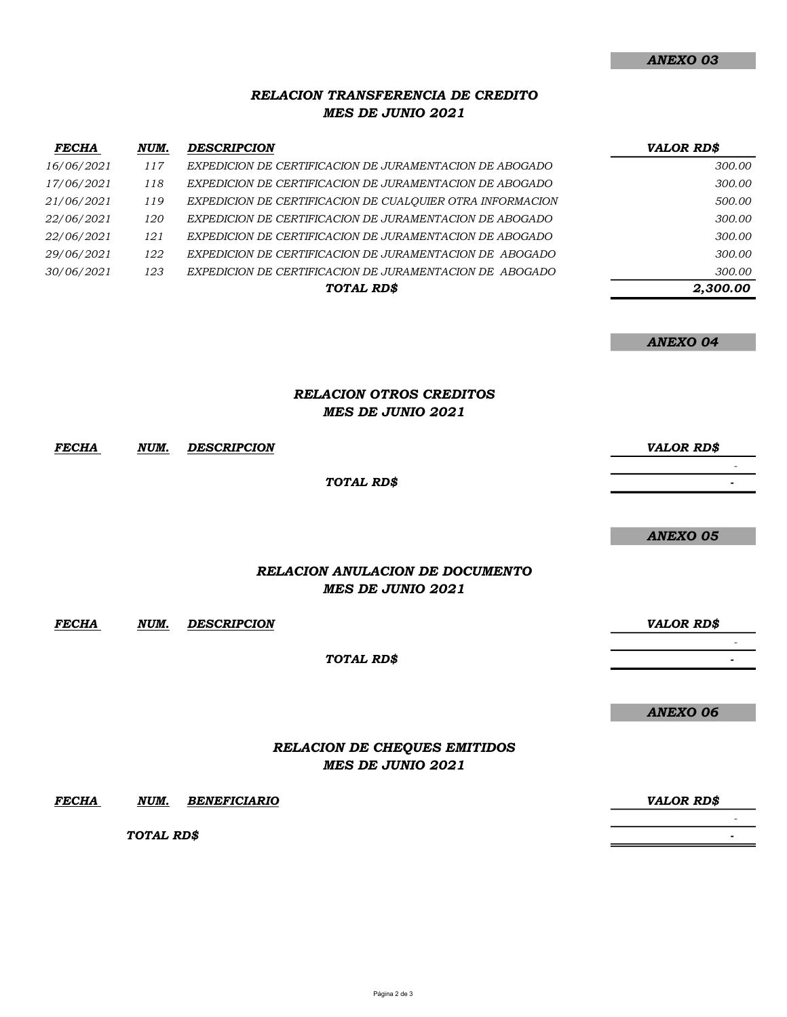### RELACION TRANSFERENCIA DE CREDITO MES DE JUNIO 2021

| <b>FECHA</b>      | NUM. | <b>DESCRIPCION</b>                                        | <b>VALOR RD\$</b> |
|-------------------|------|-----------------------------------------------------------|-------------------|
| 16/06/2021        | 117  | EXPEDICION DE CERTIFICACION DE JURAMENTACION DE ABOGADO   | 300.00            |
| <i>17/06/2021</i> | 118  | EXPEDICION DE CERTIFICACION DE JURAMENTACION DE ABOGADO   | 300.00            |
| 21/06/2021        | 119  | EXPEDICION DE CERTIFICACION DE CUALOUIER OTRA INFORMACION | 500.00            |
| 22/06/2021        | 120  | EXPEDICION DE CERTIFICACION DE JURAMENTACION DE ABOGADO   | 300.00            |
| 22/06/2021        | 121  | EXPEDICION DE CERTIFICACION DE JURAMENTACION DE ABOGADO   | 300.00            |
| 29/06/2021        | 122  | EXPEDICION DE CERTIFICACION DE JURAMENTACION DE ABOGADO   | 300.00            |
| 30/06/2021        | 123  | EXPEDICION DE CERTIFICACION DE JURAMENTACION DE ABOGADO   | 300.00            |
|                   |      | TOTAL RD\$                                                | 2.300.00          |

ANEXO 04

### RELACION OTROS CREDITOS MES DE JUNIO 2021

FECHA NUM. VALOR RD\$ DESCRIPCION - 1990 - 1990 - 1990 - 1990 - 1990 - 1990 - 1990 - 1990 - 1990 - 1990 - 1990 - 1990 - 1990 - 1990 - 1990 - 19<br>1991 - 1990 - 1990 - 1990 - 1990 - 1990 - 1990 - 1990 - 1990 - 1990 - 1990 - 1990 - 1990 - 1990 - 1990 - 1990 - 1990 - 1990 - 1990 - 1990 - 1990 - 1990 - 1990 - 1990 - 1990 - 1990 - 1990 - 1990 - 1990 - 1990 - 1990 - 199 RELACION ANULACION DE DOCUMENTO TOTAL RD\$

MES DE JUNIO 2021

FECHA NUM. VALOR RD\$ DESCRIPCION

TOTAL RD\$

ANEXO 06

**- All and All and All and All and All - All and All and All and All and All** 

ANEXO 05

## RELACION DE CHEQUES EMITIDOS MES DE JUNIO 2021

FECHA NUM. VALOR RD\$ BENEFICIARIO

TOTAL RD\$

- 1990 - 1990 - 1990 - 1990 - 1990 - 1990 - 1990 - 1990 - 1990 - 1990 - 1990 - 1990 - 1990 - 1990 - 1990 - 19<br>1991 - 1990 - 1990 - 1990 - 1990 - 1990 - 1990 - 1990 - 1990 - 1990 - 1990 - 1990 - 1990 - 1990 - 1990 - 1990